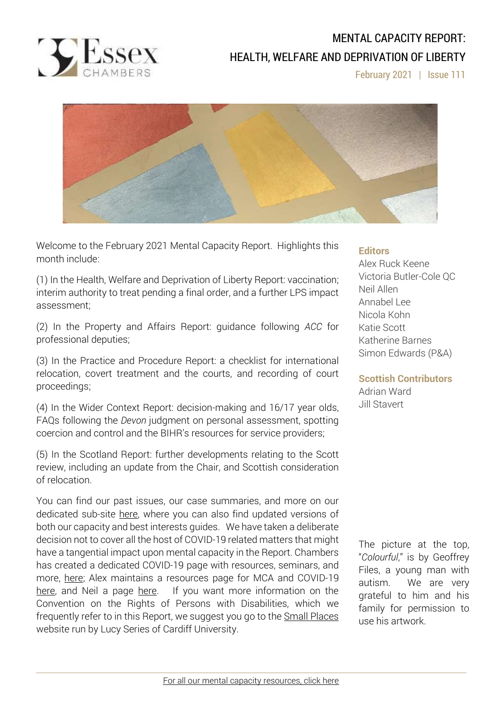

# MENTAL CAPACITY REPORT: HEALTH, WELFARE AND DEPRIVATION OF LIBERTY

February 2021 | Issue 111



Welcome to the February 2021 Mental Capacity Report. Highlights this month include:

(1) In the Health, Welfare and Deprivation of Liberty Report: vaccination; interim authority to treat pending a final order, and a further LPS impact assessment;

(2) In the Property and Affairs Report: guidance following *ACC* for professional deputies;

(3) In the Practice and Procedure Report: a checklist for international relocation, covert treatment and the courts, and recording of court proceedings;

(4) In the Wider Context Report: decision-making and 16/17 year olds, FAQs following the *Devon* judgment on personal assessment, spotting coercion and control and the BIHR's resources for service providers;

(5) In the Scotland Report: further developments relating to the Scott review, including an update from the Chair, and Scottish consideration of relocation.

You can find our past issues, our case summaries, and more on our dedicated sub-site [here,](http://www.39essex.com/resources-and-training/mental-capacity-law/) where you can also find updated versions of both our capacity and best interests guides. We have taken a deliberate decision not to cover all the host of COVID-19 related matters that might have a tangential impact upon mental capacity in the Report. Chambers has created a dedicated COVID-19 page with resources, seminars, and more, [here;](https://www.39essex.com/covid-19/) Alex maintains a resources page for MCA and COVID-19 [here,](https://www.mentalcapacitylawandpolicy.org.uk/resources-2/covid-19-and-the-mca-2005/) and Neil a page [here.](https://lpslaw.co.uk/Covid/) If you want more information on the Convention on the Rights of Persons with Disabilities, which we frequently refer to in this Report, we suggest you go to the **Small [Places](https://thesmallplaces.wordpress.com/resources-on-legal-capacity-and-the-united-nations-convention-on-the-rights-of-persons-with-disabilities/new-to-the-un-convention-on-the-rights-of-persons-with-disabilities/)** website run by Lucy Series of Cardiff University.

#### **Editors**

Alex Ruck Keene Victoria Butler-Cole QC Neil Allen Annabel Lee Nicola Kohn Katie Scott Katherine Barnes Simon Edwards (P&A)

**Scottish Contributors** Adrian Ward Jill Stavert

The picture at the top, "*Colourful*," is by Geoffrey Files, a young man with autism. We are very grateful to him and his family for permission to use his artwork.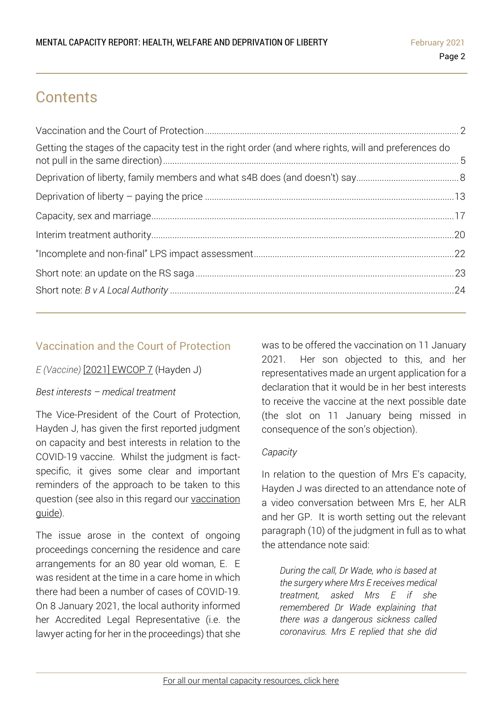# **Contents**

| Getting the stages of the capacity test in the right order (and where rights, will and preferences do |  |
|-------------------------------------------------------------------------------------------------------|--|
|                                                                                                       |  |
|                                                                                                       |  |
|                                                                                                       |  |
|                                                                                                       |  |
|                                                                                                       |  |
|                                                                                                       |  |
|                                                                                                       |  |

## <span id="page-1-0"></span>Vaccination and the Court of Protection

## *E (Vaccine)* [2021] [EWCOP](http://www2.bailii.org/ew/cases/EWCOP/2021/7.html) 7 (Hayden J)

## *Best interests – medical treatment*

The Vice-President of the Court of Protection, Hayden J, has given the first reported judgment on capacity and best interests in relation to the COVID-19 vaccine. Whilst the judgment is factspecific, it gives some clear and important reminders of the approach to be taken to this question (see also in this regard our [vaccination](https://www.39essex.com/rapid-response-guidance-note-vaccination-and-mental-capacity/) [guide\)](https://www.39essex.com/rapid-response-guidance-note-vaccination-and-mental-capacity/).

The issue arose in the context of ongoing proceedings concerning the residence and care arrangements for an 80 year old woman, E. E was resident at the time in a care home in which there had been a number of cases of COVID-19. On 8 January 2021, the local authority informed her Accredited Legal Representative (i.e. the lawyer acting for her in the proceedings) that she

was to be offered the vaccination on 11 January 2021. Her son objected to this, and her representatives made an urgent application for a declaration that it would be in her best interests to receive the vaccine at the next possible date (the slot on 11 January being missed in consequence of the son's objection).

#### *Capacity*

In relation to the question of Mrs E's capacity, Hayden J was directed to an attendance note of a video conversation between Mrs E, her ALR and her GP. It is worth setting out the relevant paragraph (10) of the judgment in full as to what the attendance note said:

*During the call, Dr Wade, who is based at the surgery where Mrs E receives medical treatment, asked Mrs E if she remembered Dr Wade explaining that there was a dangerous sickness called coronavirus. Mrs E replied that she did*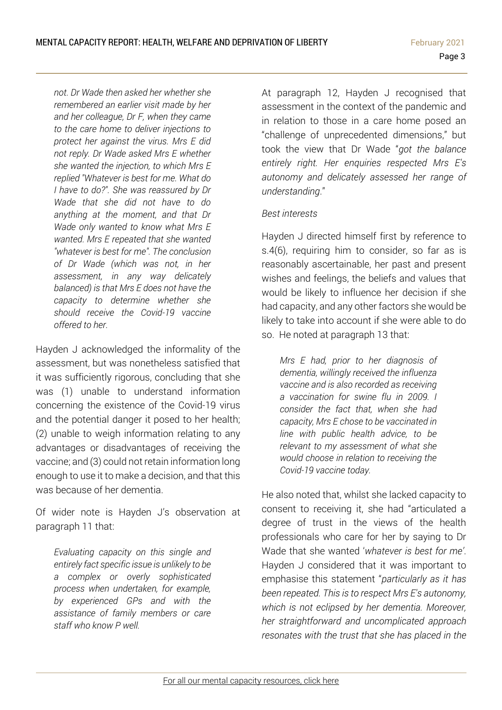*not. Dr Wade then asked her whether she remembered an earlier visit made by her and her colleague, Dr F, when they came to the care home to deliver injections to protect her against the virus. Mrs E did not reply. Dr Wade asked Mrs E whether she wanted the injection, to which Mrs E replied "Whatever is best for me. What do I have to do?". She was reassured by Dr Wade that she did not have to do anything at the moment, and that Dr Wade only wanted to know what Mrs E wanted. Mrs E repeated that she wanted "whatever is best for me". The conclusion of Dr Wade (which was not, in her assessment, in any way delicately balanced) is that Mrs E does not have the capacity to determine whether she should receive the Covid-19 vaccine offered to her.*

Hayden J acknowledged the informality of the assessment, but was nonetheless satisfied that it was sufficiently rigorous, concluding that she was (1) unable to understand information concerning the existence of the Covid-19 virus and the potential danger it posed to her health; (2) unable to weigh information relating to any advantages or disadvantages of receiving the vaccine; and (3) could not retain information long enough to use it to make a decision, and that this was because of her dementia.

Of wider note is Hayden J's observation at paragraph 11 that:

*Evaluating capacity on this single and entirely fact specific issue is unlikely to be a complex or overly sophisticated process when undertaken, for example, by experienced GPs and with the assistance of family members or care staff who know P well.*

At paragraph 12, Hayden J recognised that assessment in the context of the pandemic and in relation to those in a care home posed an "challenge of unprecedented dimensions," but took the view that Dr Wade "*got the balance entirely right. Her enquiries respected Mrs E's autonomy and delicately assessed her range of understanding*."

#### *Best interests*

Hayden J directed himself first by reference to s.4(6), requiring him to consider, so far as is reasonably ascertainable, her past and present wishes and feelings, the beliefs and values that would be likely to influence her decision if she had capacity, and any other factors she would be likely to take into account if she were able to do so. He noted at paragraph 13 that:

*Mrs E had, prior to her diagnosis of dementia, willingly received the influenza vaccine and is also recorded as receiving a vaccination for swine flu in 2009. I consider the fact that, when she had capacity, Mrs E chose to be vaccinated in line with public health advice, to be relevant to my assessment of what she would choose in relation to receiving the Covid-19 vaccine today.* 

He also noted that, whilst she lacked capacity to consent to receiving it, she had "articulated a degree of trust in the views of the health professionals who care for her by saying to Dr Wade that she wanted '*whatever is best for me'*. Hayden J considered that it was important to emphasise this statement "*particularly as it has been repeated. This is to respect Mrs E's autonomy, which is not eclipsed by her dementia. Moreover, her straightforward and uncomplicated approach resonates with the trust that she has placed in the*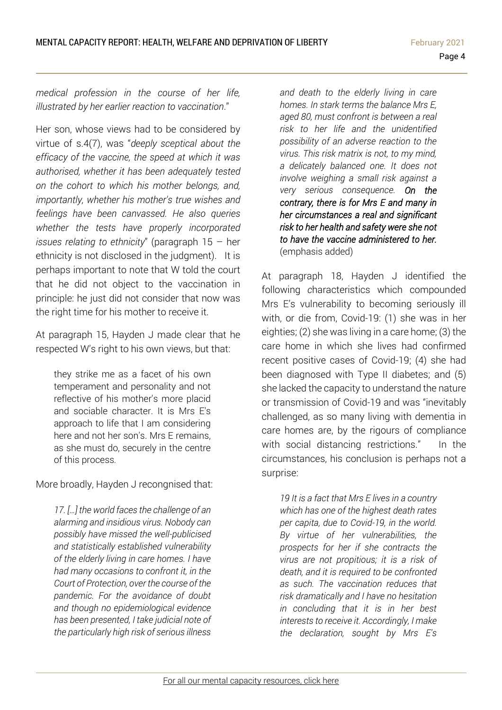*medical profession in the course of her life, illustrated by her earlier reaction to vaccination*."

Her son, whose views had to be considered by virtue of s.4(7), was "*deeply sceptical about the efficacy of the vaccine, the speed at which it was authorised, whether it has been adequately tested on the cohort to which his mother belongs, and, importantly, whether his mother's true wishes and feelings have been canvassed. He also queries whether the tests have properly incorporated issues relating to ethnicity*" (paragraph 15 – her ethnicity is not disclosed in the judgment). It is perhaps important to note that W told the court that he did not object to the vaccination in principle: he just did not consider that now was the right time for his mother to receive it.

At paragraph 15, Hayden J made clear that he respected W's right to his own views, but that:

they strike me as a facet of his own temperament and personality and not reflective of his mother's more placid and sociable character. It is Mrs E's approach to life that I am considering here and not her son's. Mrs E remains, as she must do, securely in the centre of this process*.*

More broadly, Hayden J recongnised that:

*17. […] the world faces the challenge of an alarming and insidious virus. Nobody can possibly have missed the well-publicised and statistically established vulnerability of the elderly living in care homes. I have had many occasions to confront it, in the Court of Protection, over the course of the pandemic. For the avoidance of doubt and though no epidemiological evidence has been presented, I take judicial note of the particularly high risk of serious illness* 

*and death to the elderly living in care homes. In stark terms the balance Mrs E, aged 80, must confront is between a real risk to her life and the unidentified possibility of an adverse reaction to the virus. This risk matrix is not, to my mind, a delicately balanced one. It does not involve weighing a small risk against a very serious consequence. On the contrary, there is for Mrs E and many in her circumstances a real and significant risk to her health and safety were she not to have the vaccine administered to her.*  (emphasis added)

At paragraph 18, Hayden J identified the following *c*haracteristics which compounded Mrs E's vulnerability to becoming seriously ill with, or die from, Covid-19: (1) she was in her eighties; (2) she was living in a care home; (3) the care home in which she lives had confirmed recent positive cases of Covid-19; (4) she had been diagnosed with Type II diabetes; and (5) she lacked the capacity to understand the nature or transmission of Covid-19 and was "inevitably challenged, as so many living with dementia in care homes are, by the rigours of compliance with social distancing restrictions." In the circumstances, his conclusion is perhaps not a surprise:

*19 It is a fact that Mrs E lives in a country which has one of the highest death rates per capita, due to Covid-19, in the world. By virtue of her vulnerabilities, the prospects for her if she contracts the virus are not propitious; it is a risk of death, and it is required to be confronted as such. The vaccination reduces that risk dramatically and I have no hesitation in concluding that it is in her best interests to receive it. Accordingly, I make the declaration, sought by Mrs E's*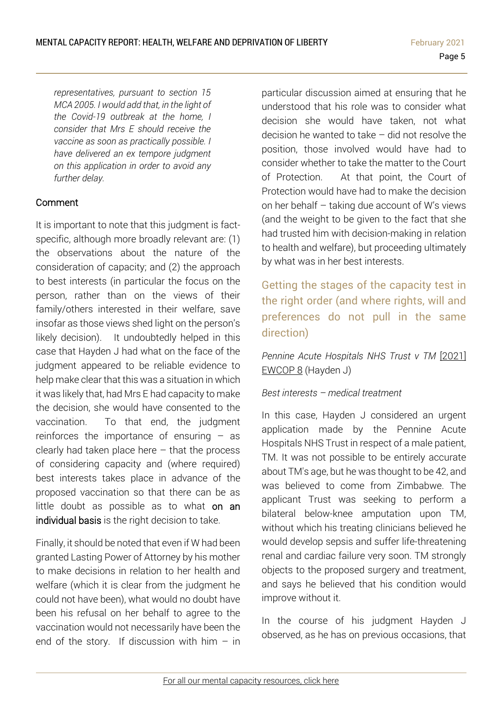*representatives, pursuant to section 15 MCA 2005. I would add that, in the light of the Covid-19 outbreak at the home, I consider that Mrs E should receive the vaccine as soon as practically possible. I have delivered an ex tempore judgment on this application in order to avoid any further delay.*

### Comment

It is important to note that this judgment is factspecific, although more broadly relevant are: (1) the observations about the nature of the consideration of capacity; and (2) the approach to best interests (in particular the focus on the person, rather than on the views of their family/others interested in their welfare, save insofar as those views shed light on the person's likely decision). It undoubtedly helped in this case that Hayden J had what on the face of the judgment appeared to be reliable evidence to help make clear that this was a situation in which it was likely that, had Mrs E had capacity to make the decision, she would have consented to the vaccination. To that end, the judgment reinforces the importance of ensuring  $-$  as clearly had taken place here  $-$  that the process of considering capacity and (where required) best interests takes place in advance of the proposed vaccination so that there can be as little doubt as possible as to what on an individual basis is the right decision to take.

Finally, it should be noted that even if W had been granted Lasting Power of Attorney by his mother to make decisions in relation to her health and welfare (which it is clear from the judgment he could not have been), what would no doubt have been his refusal on her behalf to agree to the vaccination would not necessarily have been the end of the story. If discussion with him  $-$  in particular discussion aimed at ensuring that he understood that his role was to consider what decision she would have taken, not what decision he wanted to take – did not resolve the position, those involved would have had to consider whether to take the matter to the Court of Protection. At that point, the Court of Protection would have had to make the decision on her behalf – taking due account of W's views (and the weight to be given to the fact that she had trusted him with decision-making in relation to health and welfare), but proceeding ultimately by what was in her best interests.

<span id="page-4-0"></span>Getting the stages of the capacity test in the right order (and where rights, will and preferences do not pull in the same direction)

*Pennine Acute Hospitals NHS Trust v TM* [\[2021\]](http://www2.bailii.org/ew/cases/EWCOP/2021/8.html) [EWCOP](http://www2.bailii.org/ew/cases/EWCOP/2021/8.html) 8 (Hayden J)

#### *Best interests – medical treatment*

In this case, Hayden J considered an urgent application made by the Pennine Acute Hospitals NHS Trust in respect of a male patient, TM. It was not possible to be entirely accurate about TM's age, but he was thought to be 42, and was believed to come from Zimbabwe. The applicant Trust was seeking to perform a bilateral below-knee amputation upon TM, without which his treating clinicians believed he would develop sepsis and suffer life-threatening renal and cardiac failure very soon. TM strongly objects to the proposed surgery and treatment, and says he believed that his condition would improve without it.

In the course of his judgment Hayden J observed, as he has on previous occasions, that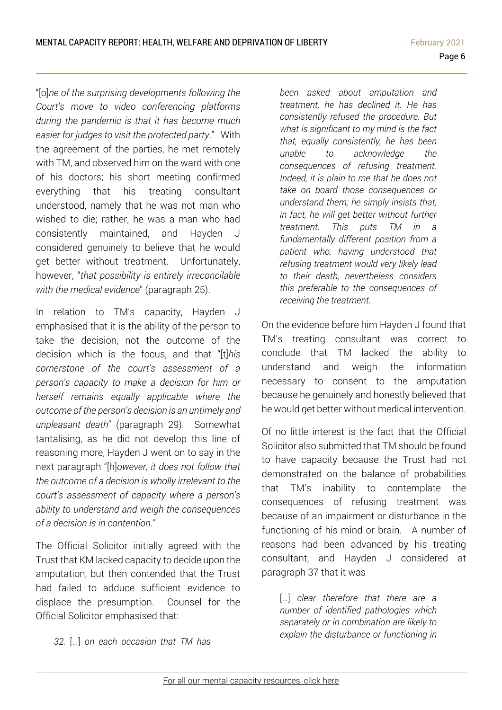MENTAL CAPACITY REPORT: HEALTH, WELFARE AND DEPRIVATION OF LIBERTY February 2021

"[o]*ne of the surprising developments following the Court's move to video conferencing platforms during the pandemic is that it has become much easier for judges to visit the protected party*." With the agreement of the parties, he met remotely with TM, and observed him on the ward with one of his doctors; his short meeting confirmed everything that his treating consultant understood, namely that he was not man who wished to die; rather, he was a man who had consistently maintained, and Hayden J considered genuinely to believe that he would get better without treatment. Unfortunately, however, "*that possibility is entirely irreconcilable with the medical evidence*" (paragraph 25).

In relation to TM's capacity, Hayden J emphasised that it is the ability of the person to take the decision, not the outcome of the decision which is the focus, and that "[t]*his cornerstone of the court's assessment of a person's capacity to make a decision for him or herself remains equally applicable where the outcome of the person's decision is an untimely and unpleasant death*" (paragraph 29). Somewhat tantalising, as he did not develop this line of reasoning more, Hayden J went on to say in the next paragraph "[h]*owever, it does not follow that the outcome of a decision is wholly irrelevant to the court's assessment of capacity where a person's ability to understand and weigh the consequences of a decision is in contention*."

The Official Solicitor initially agreed with the Trust that KM lacked capacity to decide upon the amputation, but then contended that the Trust had failed to adduce sufficient evidence to displace the presumption. Counsel for the Official Solicitor emphasised that:

*been asked about amputation and treatment, he has declined it. He has consistently refused the procedure. But what is significant to my mind is the fact that, equally consistently, he has been unable to acknowledge the consequences of refusing treatment. Indeed, it is plain to me that he does not take on board those consequences or understand them; he simply insists that, in fact, he will get better without further treatment. This puts TM in a fundamentally different position from a patient who, having understood that refusing treatment would very likely lead to their death, nevertheless considers this preferable to the consequences of receiving the treatment.*

On the evidence before him Hayden J found that TM's treating consultant was correct to conclude that TM lacked the ability to understand and weigh the information necessary to consent to the amputation because he genuinely and honestly believed that he would get better without medical intervention.

Of no little interest is the fact that the Official Solicitor also submitted that TM should be found to have capacity because the Trust had not demonstrated on the balance of probabilities that TM's inability to contemplate the consequences of refusing treatment was because of an impairment or disturbance in the functioning of his mind or brain. A number of reasons had been advanced by his treating consultant, and Hayden J considered at paragraph 37 that it was

[…] *clear therefore that there are a number of identified pathologies which separately or in combination are likely to explain the disturbance or functioning in* 

*32.* […] *on each occasion that TM has*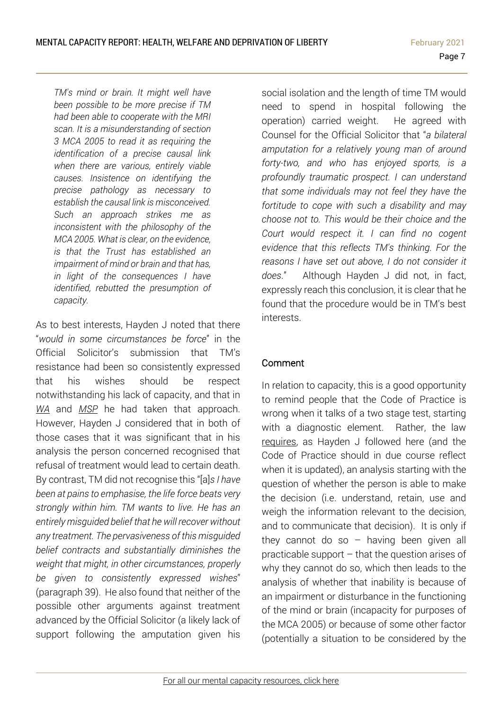*TM's mind or brain. It might well have been possible to be more precise if TM had been able to cooperate with the MRI scan. It is a misunderstanding of section 3 MCA 2005 to read it as requiring the identification of a precise causal link when there are various, entirely viable causes. Insistence on identifying the precise pathology as necessary to establish the causal link is misconceived. Such an approach strikes me as inconsistent with the philosophy of the MCA 2005. What is clear, on the evidence, is that the Trust has established an impairment of mind or brain and that has, in light of the consequences I have identified, rebutted the presumption of capacity.*

As to best interests, Hayden J noted that there "*would in some circumstances be force*" in the Official Solicitor's submission that TM's resistance had been so consistently expressed that his wishes should be respect notwithstanding his lack of capacity, and that in *[WA](https://www.39essex.com/cop_cases/university-hospital-coventry-and-warwickshire-nhs-trust-v-k-and-mrs-w-2/)* and *[MSP](https://www.39essex.com/cop_cases/barnsley-hospitals-nhs-foundation-trust-v-msp/)* he had taken that approach. However, Hayden J considered that in both of those cases that it was significant that in his analysis the person concerned recognised that refusal of treatment would lead to certain death. By contrast, TM did not recognise this "[a]*s I have been at pains to emphasise, the life force beats very strongly within him. TM wants to live. He has an entirely misguided belief that he will recover without any treatment. The pervasiveness of this misguided belief contracts and substantially diminishes the weight that might, in other circumstances, properly be given to consistently expressed wishes*" (paragraph 39). He also found that neither of the possible other arguments against treatment advanced by the Official Solicitor (a likely lack of support following the amputation given his

social isolation and the length of time TM would need to spend in hospital following the operation) carried weight. He agreed with Counsel for the Official Solicitor that "*a bilateral amputation for a relatively young man of around forty-two, and who has enjoyed sports, is a profoundly traumatic prospect. I can understand that some individuals may not feel they have the fortitude to cope with such a disability and may choose not to. This would be their choice and the Court would respect it. I can find no cogent evidence that this reflects TM's thinking. For the reasons I have set out above, I do not consider it does*." Although Hayden J did not, in fact, expressly reach this conclusion, it is clear that he found that the procedure would be in TM's best interests.

## Comment

In relation to capacity, this is a good opportunity to remind people that the Code of Practice is wrong when it talks of a two stage test, starting with a diagnostic element. Rather, the law [requires,](https://www.39essex.com/cop_cases/pc-and-nc-v-city-of-york-council/) as Hayden J followed here (and the Code of Practice should in due course reflect when it is updated), an analysis starting with the question of whether the person is able to make the decision (i.e. understand, retain, use and weigh the information relevant to the decision, and to communicate that decision). It is only if they cannot do so  $-$  having been given all practicable support – that the question arises of why they cannot do so, which then leads to the analysis of whether that inability is because of an impairment or disturbance in the functioning of the mind or brain (incapacity for purposes of the MCA 2005) or because of some other factor (potentially a situation to be considered by the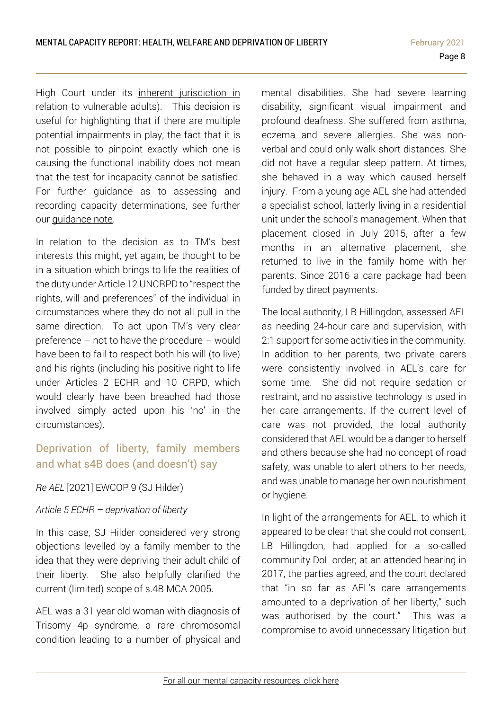High Court under its inherent [jurisdiction](https://www.39essex.com/mental-capacity-guidance-note-inherent-jurisdiction/) in relation to [vulnerable](https://www.39essex.com/mental-capacity-guidance-note-inherent-jurisdiction/) adults). This decision is useful for highlighting that if there are multiple potential impairments in play, the fact that it is not possible to pinpoint exactly which one is causing the functional inability does not mean that the test for incapacity cannot be satisfied. For further guidance as to assessing and recording capacity determinations, see further our [guidance](https://www.39essex.com/mental-capacity-guidance-note-brief-guide-carrying-capacity-assessments/) note.

In relation to the decision as to TM's best interests this might, yet again, be thought to be in a situation which brings to life the realities of the duty under Article 12 UNCRPD to "respect the rights, will and preferences" of the individual in circumstances where they do not all pull in the same direction. To act upon TM's very clear preference – not to have the procedure – would have been to fail to respect both his will (to live) and his rights (including his positive right to life under Articles 2 ECHR and 10 CRPD, which would clearly have been breached had those involved simply acted upon his 'no' in the circumstances).

## <span id="page-7-0"></span>Deprivation of liberty, family members and what s4B does (and doesn't) say

#### *Re AEL* [2021] [EWCOP](https://www.bailii.org/ew/cases/EWCOP/2021/9.html) 9 (SJ Hilder)

#### *Article 5 ECHR – deprivation of liberty*

In this case, SJ Hilder considered very strong objections levelled by a family member to the idea that they were depriving their adult child of their liberty. She also helpfully clarified the current (limited) scope of s.4B MCA 2005.

AEL was a 31 year old woman with diagnosis of Trisomy 4p syndrome, a rare chromosomal condition leading to a number of physical and

mental disabilities. She had severe learning disability, significant visual impairment and profound deafness. She suffered from asthma, eczema and severe allergies. She was nonverbal and could only walk short distances. She did not have a regular sleep pattern. At times, she behaved in a way which caused herself injury. From a young age AEL she had attended a specialist school, latterly living in a residential unit under the school's management. When that placement closed in July 2015, after a few months in an alternative placement, she returned to live in the family home with her parents. Since 2016 a care package had been funded by direct payments.

The local authority, LB Hillingdon, assessed AEL as needing 24-hour care and supervision, with 2:1 support for some activities in the community. In addition to her parents, two private carers were consistently involved in AEL's care for some time. She did not require sedation or restraint, and no assistive technology is used in her care arrangements. If the current level of care was not provided, the local authority considered that AEL would be a danger to herself and others because she had no concept of road safety, was unable to alert others to her needs, and was unable to manage her own nourishment or hygiene.

In light of the arrangements for AEL, to which it appeared to be clear that she could not consent, LB Hillingdon, had applied for a so-called community DoL order; at an attended hearing in 2017, the parties agreed, and the court declared that "in so far as AEL's care arrangements amounted to a deprivation of her liberty," such was authorised by the court." This was a compromise to avoid unnecessary litigation but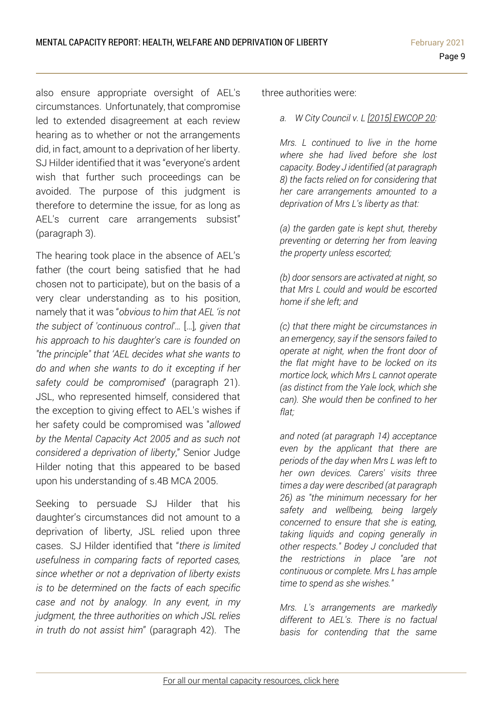also ensure appropriate oversight of AEL's circumstances. Unfortunately, that compromise led to extended disagreement at each review hearing as to whether or not the arrangements did, in fact, amount to a deprivation of her liberty. SJ Hilder identified that it was "everyone's ardent wish that further such proceedings can be avoided. The purpose of this judgment is therefore to determine the issue, for as long as AEL's current care arrangements subsist" (paragraph 3).

The hearing took place in the absence of AEL's father (the court being satisfied that he had chosen not to participate), but on the basis of a very clear understanding as to his position, namely that it was "*obvious to him that AEL 'is not the subject of 'continuous control'…* […]*, given that his approach to his daughter's care is founded on "the principle" that 'AEL decides what she wants to do and when she wants to do it excepting if her safety could be compromised*' (paragraph 21). JSL, who represented himself, considered that the exception to giving effect to AEL's wishes if her safety could be compromised was "*allowed by the Mental Capacity Act 2005 and as such not considered a deprivation of liberty*," Senior Judge Hilder noting that this appeared to be based upon his understanding of s.4B MCA 2005.

Seeking to persuade SJ Hilder that his daughter's circumstances did not amount to a deprivation of liberty, JSL relied upon three cases. SJ Hilder identified that "*there is limited usefulness in comparing facts of reported cases, since whether or not a deprivation of liberty exists is to be determined on the facts of each specific case and not by analogy. In any event, in my judgment, the three authorities on which JSL relies in truth do not assist him*" (paragraph 42). The

three authorities were:

*a. W City Council v. L [\[2015\] EWCOP 20:](https://www.bailii.org/ew/cases/EWCOP/2015/20.html)*

*Mrs. L continued to live in the home where she had lived before she lost capacity. Bodey J identified (at paragraph 8) the facts relied on for considering that her care arrangements amounted to a deprivation of Mrs L's liberty as that:*

*(a) the garden gate is kept shut, thereby preventing or deterring her from leaving the property unless escorted;*

*(b) door sensors are activated at night, so that Mrs L could and would be escorted home if she left; and*

*(c) that there might be circumstances in an emergency, say if the sensors failed to operate at night, when the front door of the flat might have to be locked on its mortice lock, which Mrs L cannot operate (as distinct from the Yale lock, which she can). She would then be confined to her flat;*

*and noted (at paragraph 14) acceptance even by the applicant that there are periods of the day when Mrs L was left to her own devices. Carers' visits three times a day were described (at paragraph 26) as "the minimum necessary for her safety and wellbeing, being largely concerned to ensure that she is eating, taking liquids and coping generally in other respects." Bodey J concluded that the restrictions in place "are not continuous or complete. Mrs L has ample time to spend as she wishes."*

*Mrs. L's arrangements are markedly different to AEL's. There is no factual basis for contending that the same*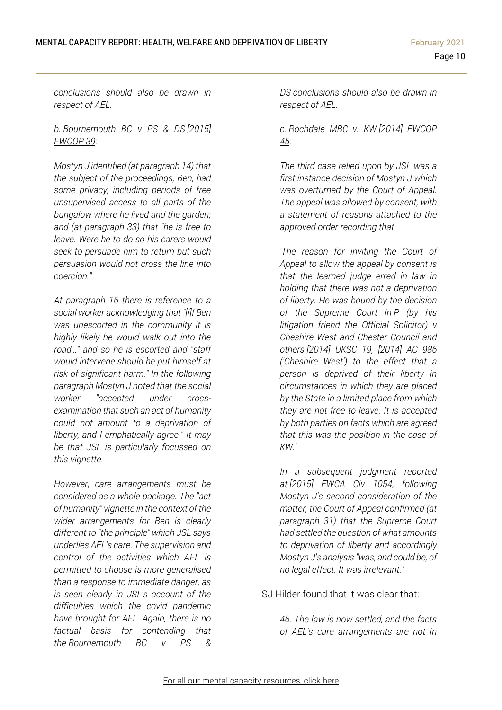*conclusions should also be drawn in respect of AEL.*

*b. Bournemouth BC v PS & DS [\[2015\]](https://www.bailii.org/ew/cases/EWCOP/2015/39.html)  [EWCOP 39:](https://www.bailii.org/ew/cases/EWCOP/2015/39.html)*

*Mostyn J identified (at paragraph 14) that the subject of the proceedings, Ben, had some privacy, including periods of free unsupervised access to all parts of the bungalow where he lived and the garden; and (at paragraph 33) that "he is free to leave. Were he to do so his carers would seek to persuade him to return but such persuasion would not cross the line into coercion."*

*At paragraph 16 there is reference to a social worker acknowledging that "[i]f Ben was unescorted in the community it is highly likely he would walk out into the road…" and so he is escorted and "staff would intervene should he put himself at risk of significant harm." In the following paragraph Mostyn J noted that the social worker "accepted under crossexamination that such an act of humanity could not amount to a deprivation of liberty, and I emphatically agree." It may be that JSL is particularly focussed on this vignette.*

*However, care arrangements must be considered as a whole package. The "act of humanity" vignette in the context of the wider arrangements for Ben is clearly different to "the principle" which JSL says underlies AEL's care. The supervision and control of the activities which AEL is permitted to choose is more generalised than a response to immediate danger, as is seen clearly in JSL's account of the difficulties which the covid pandemic have brought for AEL. Again, there is no factual basis for contending that the Bournemouth BC v PS &*

*DS conclusions should also be drawn in respect of AEL.*

#### *c. Rochdale MBC v. KW [\[2014\] EWCOP](https://www.bailii.org/ew/cases/EWCOP/2014/45.html)  [45:](https://www.bailii.org/ew/cases/EWCOP/2014/45.html)*

*The third case relied upon by JSL was a first instance decision of Mostyn J which was overturned by the Court of Appeal. The appeal was allowed by consent, with a statement of reasons attached to the approved order recording that*

*'The reason for inviting the Court of Appeal to allow the appeal by consent is that the learned judge erred in law in holding that there was not a deprivation of liberty. He was bound by the decision of the Supreme Court in P (by his litigation friend the Official Solicitor) v Cheshire West and Chester Council and others [\[2014\] UKSC 19,](https://www.bailii.org/uk/cases/UKSC/2014/19.html) [2014] AC 986 ('Cheshire West') to the effect that a person is deprived of their liberty in circumstances in which they are placed by the State in a limited place from which they are not free to leave. It is accepted by both parties on facts which are agreed that this was the position in the case of KW.'*

*In a subsequent judgment reported at [\[2015\] EWCA Civ 1054,](https://www.bailii.org/ew/cases/EWCA/Civ/2015/1054.html) following Mostyn J's second consideration of the matter, the Court of Appeal confirmed (at paragraph 31) that the Supreme Court had settled the question of what amounts to deprivation of liberty and accordingly Mostyn J's analysis "was, and could be, of no legal effect. It was irrelevant."*

SJ Hilder found that it was clear that:

*46. The law is now settled, and the facts of AEL's care arrangements are not in*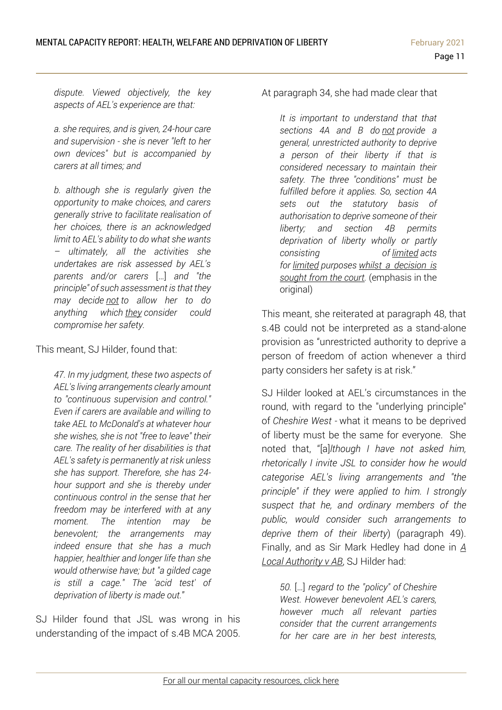*dispute. Viewed objectively, the key aspects of AEL's experience are that:*

*a. she requires, and is given, 24-hour care and supervision - she is never "left to her own devices" but is accompanied by carers at all times; and*

*b. although she is regularly given the opportunity to make choices, and carers generally strive to facilitate realisation of her choices, there is an acknowledged limit to AEL's ability to do what she wants – ultimately, all the activities she undertakes are risk assessed by AEL's parents and/or carers* […] *and "the principle" of such assessment is that they may decide not to allow her to do anything which they consider could compromise her safety.*

This meant, SJ Hilder, found that:

*47. In my judgment, these two aspects of AEL's living arrangements clearly amount to "continuous supervision and control." Even if carers are available and willing to take AEL to McDonald's at whatever hour she wishes, she is not "free to leave" their care. The reality of her disabilities is that AEL's safety is permanently at risk unless she has support. Therefore, she has 24 hour support and she is thereby under continuous control in the sense that her freedom may be interfered with at any moment. The intention may be benevolent; the arrangements may indeed ensure that she has a much happier, healthier and longer life than she would otherwise have; but "a gilded cage is still a cage." The 'acid test' of deprivation of liberty is made out.*"

SJ Hilder found that JSL was wrong in his understanding of the impact of s.4B MCA 2005. At paragraph 34, she had made clear that

*It is important to understand that that sections 4A and B do not provide a general, unrestricted authority to deprive a person of their liberty if that is considered necessary to maintain their safety. The three "conditions" must be fulfilled before it applies. So, section 4A sets out the statutory basis of authorisation to deprive someone of their liberty; and section 4B permits deprivation of liberty wholly or partly consisting of limited acts for limited purposes whilst a decision is sought from the court.* (emphasis in the original)

This meant, she reiterated at paragraph 48, that s.4B could not be interpreted as a stand-alone provision as "unrestricted authority to deprive a person of freedom of action whenever a third party considers her safety is at risk."

SJ Hilder looked at AEL's circumstances in the round, with regard to the "underlying principle" of *Cheshire West -* what it means to be deprived of liberty must be the same for everyone. She noted that, "[a]*lthough I have not asked him, rhetorically I invite JSL to consider how he would categorise AEL's living arrangements and "the principle" if they were applied to him. I strongly suspect that he, and ordinary members of the public, would consider such arrangements to deprive them of their liberty*) (paragraph 49). Finally, and as Sir Mark Hedley had done in *[A](https://www.39essex.com/cop_cases/a-local-authority-v-ab/) Local [Authority](https://www.39essex.com/cop_cases/a-local-authority-v-ab/) v AB*, SJ Hilder had:

*50.* […] *regard to the "policy" of Cheshire West. However benevolent AEL's carers, however much all relevant parties consider that the current arrangements for her care are in her best interests,*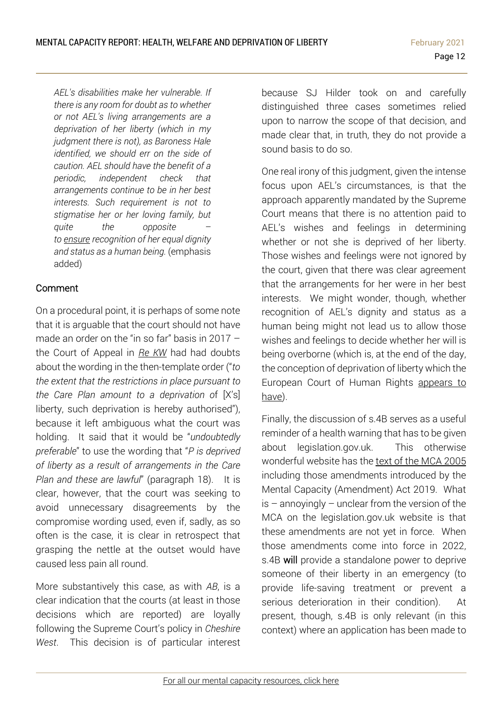*AEL's disabilities make her vulnerable. If there is any room for doubt as to whether or not AEL's living arrangements are a deprivation of her liberty (which in my judgment there is not), as Baroness Hale identified, we should err on the side of caution. AEL should have the benefit of a periodic, independent check that arrangements continue to be in her best interests. Such requirement is not to stigmatise her or her loving family, but quite the opposite – to ensure recognition of her equal dignity and status as a human being.* (emphasis added)

#### Comment

On a procedural point, it is perhaps of some note that it is arguable that the court should not have made an order on the "in so far" basis in 2017 – the Court of Appeal in *Re [KW](https://www.39essex.com/cop_cases/kw-ors-v-rochdale-mbc/)* had had doubts about the wording in the then-template order ("*to the extent that the restrictions in place pursuant to the Care Plan amount to a deprivation o*f [X's] liberty, such deprivation is hereby authorised"), because it left ambiguous what the court was holding. It said that it would be "*undoubtedly preferable*" to use the wording that "*P is deprived of liberty as a result of arrangements in the Care Plan and these are lawful*" (paragraph 18). It is clear, however, that the court was seeking to avoid unnecessary disagreements by the compromise wording used, even if, sadly, as so often is the case, it is clear in retrospect that grasping the nettle at the outset would have caused less pain all round.

More substantively this case, as with *AB*, is a clear indication that the courts (at least in those decisions which are reported) are loyally following the Supreme Court's policy in *Cheshire West*. This decision is of particular interest because SJ Hilder took on and carefully distinguished three cases sometimes relied upon to narrow the scope of that decision, and made clear that, in truth, they do not provide a sound basis to do so.

One real irony of this judgment, given the intense focus upon AEL's circumstances, is that the approach apparently mandated by the Supreme Court means that there is no attention paid to AEL's wishes and feelings in determining whether or not she is deprived of her liberty. Those wishes and feelings were not ignored by the court, given that there was clear agreement that the arrangements for her were in her best interests. We might wonder, though, whether recognition of AEL's dignity and status as a human being might not lead us to allow those wishes and feelings to decide whether her will is being overborne (which is, at the end of the day, the conception of deprivation of liberty which the European Court of Human Rights [appears](https://www.39essex.com/wp-content/uploads/2017/12/Valid-Consent-Discussion-Paper-December-2017.docx.pdf) to [have\)](https://www.39essex.com/wp-content/uploads/2017/12/Valid-Consent-Discussion-Paper-December-2017.docx.pdf).

Finally, the discussion of s.4B serves as a useful reminder of a health warning that has to be given about legislation.gov.uk. This otherwise wonderful website has the text of the MCA [2005](https://www.legislation.gov.uk/ukpga/2005/9/contents) including those amendments introduced by the Mental Capacity (Amendment) Act 2019. What  $is -$  annoyingly  $-$  unclear from the version of the MCA on the legislation.gov.uk website is that these amendments are not yet in force. When those amendments come into force in 2022, s.4B will provide a standalone power to deprive someone of their liberty in an emergency (to provide life-saving treatment or prevent a serious deterioration in their condition). At present, though, s.4B is only relevant (in this context) where an application has been made to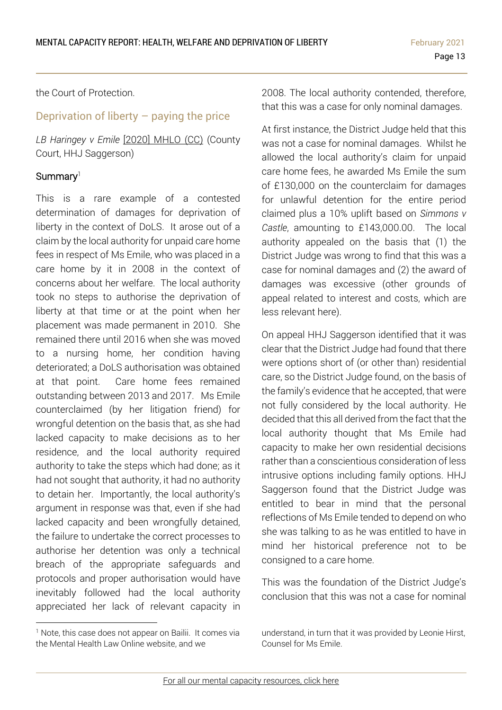the Court of Protection.

# <span id="page-12-0"></span>Deprivation of liberty – paying the price

*LB Haringey v Emile* [2020] [MHLO](https://www.mentalhealthlaw.co.uk/London_Borough_of_Haringey_v_Emile_(2020)_MHLO_70_(CC)) (CC) (County Court, HHJ Saggerson)

#### Summary<sup>1</sup>

This is a rare example of a contested determination of damages for deprivation of liberty in the context of DoLS. It arose out of a claim by the local authority for unpaid care home fees in respect of Ms Emile, who was placed in a care home by it in 2008 in the context of concerns about her welfare. The local authority took no steps to authorise the deprivation of liberty at that time or at the point when her placement was made permanent in 2010. She remained there until 2016 when she was moved to a nursing home, her condition having deteriorated; a DoLS authorisation was obtained at that point. Care home fees remained outstanding between 2013 and 2017. Ms Emile counterclaimed (by her litigation friend) for wrongful detention on the basis that, as she had lacked capacity to make decisions as to her residence, and the local authority required authority to take the steps which had done; as it had not sought that authority, it had no authority to detain her. Importantly, the local authority's argument in response was that, even if she had lacked capacity and been wrongfully detained, the failure to undertake the correct processes to authorise her detention was only a technical breach of the appropriate safeguards and protocols and proper authorisation would have inevitably followed had the local authority appreciated her lack of relevant capacity in

2008. The local authority contended, therefore, that this was a case for only nominal damages.

At first instance, the District Judge held that this was not a case for nominal damages. Whilst he allowed the local authority's claim for unpaid care home fees, he awarded Ms Emile the sum of £130,000 on the counterclaim for damages for unlawful detention for the entire period claimed plus a 10% uplift based on *Simmons v Castle*, amounting to £143,000.00. The local authority appealed on the basis that (1) the District Judge was wrong to find that this was a case for nominal damages and (2) the award of damages was excessive (other grounds of appeal related to interest and costs, which are less relevant here).

On appeal HHJ Saggerson identified that it was clear that the District Judge had found that there were options short of (or other than) residential care, so the District Judge found, on the basis of the family's evidence that he accepted, that were not fully considered by the local authority. He decided that this all derived from the fact that the local authority thought that Ms Emile had capacity to make her own residential decisions rather than a conscientious consideration of less intrusive options including family options. HHJ Saggerson found that the District Judge was entitled to bear in mind that the personal reflections of Ms Emile tended to depend on who she was talking to as he was entitled to have in mind her historical preference not to be consigned to a care home.

This was the foundation of the District Judge's conclusion that this was not a case for nominal

<sup>&</sup>lt;sup>1</sup> Note, this case does not appear on Bailii. It comes via the Mental Health Law Online website, and we

understand, in turn that it was provided by Leonie Hirst, Counsel for Ms Emile.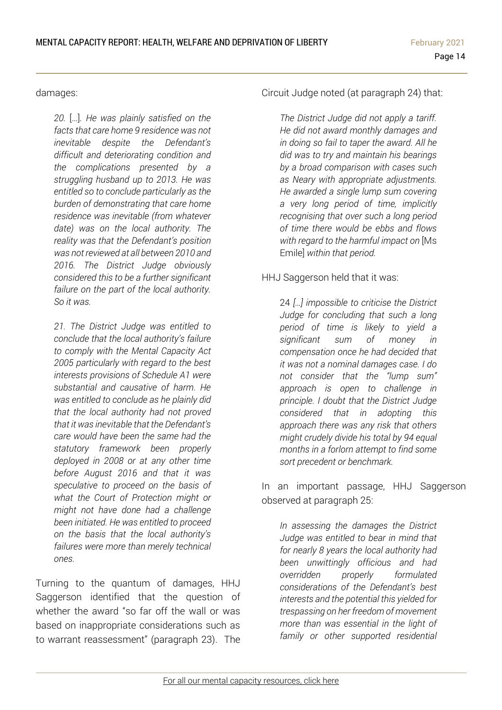damages:

*20.* […]*. He was plainly satisfied on the facts that care home 9 residence was not inevitable despite the Defendant's difficult and deteriorating condition and the complications presented by a struggling husband up to 2013. He was entitled so to conclude particularly as the burden of demonstrating that care home residence was inevitable (from whatever date) was on the local authority. The reality was that the Defendant's position was not reviewed at all between 2010 and 2016. The District Judge obviously considered this to be a further significant failure on the part of the local authority. So it was.* 

*21. The District Judge was entitled to conclude that the local authority's failure to comply with the Mental Capacity Act 2005 particularly with regard to the best interests provisions of Schedule A1 were substantial and causative of harm. He was entitled to conclude as he plainly did that the local authority had not proved that it was inevitable that the Defendant's care would have been the same had the statutory framework been properly deployed in 2008 or at any other time before August 2016 and that it was speculative to proceed on the basis of what the Court of Protection might or might not have done had a challenge been initiated. He was entitled to proceed on the basis that the local authority's failures were more than merely technical ones.*

Turning to the quantum of damages, HHJ Saggerson identified that the question of whether the award "so far off the wall or was based on inappropriate considerations such as to warrant reassessment" (paragraph 23). The

Circuit Judge noted (at paragraph 24) that:

*The District Judge did not apply a tariff. He did not award monthly damages and in doing so fail to taper the award. All he did was to try and maintain his bearings by a broad comparison with cases such as Neary with appropriate adjustments. He awarded a single lump sum covering a very long period of time, implicitly recognising that over such a long period of time there would be ebbs and flows with regard to the harmful impact on* [Ms Emile] *within that period.*

#### HHJ Saggerson held that it was:

24 *[…] impossible to criticise the District Judge for concluding that such a long period of time is likely to yield a significant sum of money in compensation once he had decided that it was not a nominal damages case. I do not consider that the "lump sum" approach is open to challenge in principle. I doubt that the District Judge considered that in adopting this approach there was any risk that others might crudely divide his total by 94 equal months in a forlorn attempt to find some sort precedent or benchmark.*

In an important passage, HHJ Saggerson observed at paragraph 25:

*In assessing the damages the District Judge was entitled to bear in mind that for nearly 8 years the local authority had been unwittingly officious and had overridden properly formulated considerations of the Defendant's best interests and the potential this yielded for trespassing on her freedom of movement more than was essential in the light of family or other supported residential*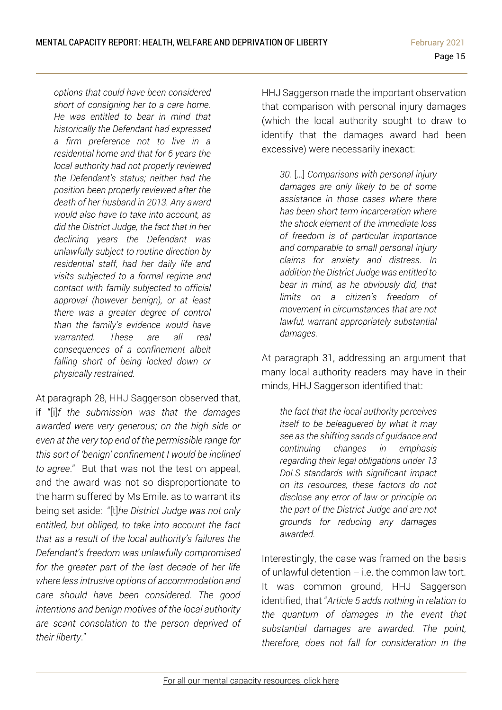*options that could have been considered short of consigning her to a care home. He was entitled to bear in mind that historically the Defendant had expressed a firm preference not to live in a residential home and that for 6 years the local authority had not properly reviewed the Defendant's status; neither had the position been properly reviewed after the death of her husband in 2013. Any award would also have to take into account, as did the District Judge, the fact that in her declining years the Defendant was unlawfully subject to routine direction by residential staff, had her daily life and visits subjected to a formal regime and contact with family subjected to official approval (however benign), or at least there was a greater degree of control than the family's evidence would have warranted. These are all real consequences of a confinement albeit falling short of being locked down or physically restrained.*

At paragraph 28, HHJ Saggerson observed that, if "[i]*f the submission was that the damages awarded were very generous; on the high side or even at the very top end of the permissible range for this sort of 'benign' confinement I would be inclined to agree*." But that was not the test on appeal, and the award was not so disproportionate to the harm suffered by Ms Emile. as to warrant its being set aside: "[t]*he District Judge was not only entitled, but obliged, to take into account the fact that as a result of the local authority's failures the Defendant's freedom was unlawfully compromised for the greater part of the last decade of her life where less intrusive options of accommodation and care should have been considered. The good intentions and benign motives of the local authority are scant consolation to the person deprived of their liberty*."

HHJ Saggerson made the important observation that comparison with personal injury damages (which the local authority sought to draw to identify that the damages award had been excessive) were necessarily inexact:

*30.* […] *Comparisons with personal injury damages are only likely to be of some assistance in those cases where there has been short term incarceration where the shock element of the immediate loss of freedom is of particular importance and comparable to small personal injury claims for anxiety and distress. In addition the District Judge was entitled to bear in mind, as he obviously did, that limits on a citizen's freedom of movement in circumstances that are not lawful, warrant appropriately substantial damages.*

At paragraph 31, addressing an argument that many local authority readers may have in their minds, HHJ Saggerson identified that:

*the fact that the local authority perceives itself to be beleaguered by what it may see as the shifting sands of guidance and continuing changes in emphasis regarding their legal obligations under 13 DoLS standards with significant impact on its resources, these factors do not disclose any error of law or principle on the part of the District Judge and are not grounds for reducing any damages awarded.*

Interestingly, the case was framed on the basis of unlawful detention  $-$  i.e. the common law tort. It was common ground, HHJ Saggerson identified, that "*Article 5 adds nothing in relation to the quantum of damages in the event that substantial damages are awarded. The point, therefore, does not fall for consideration in the*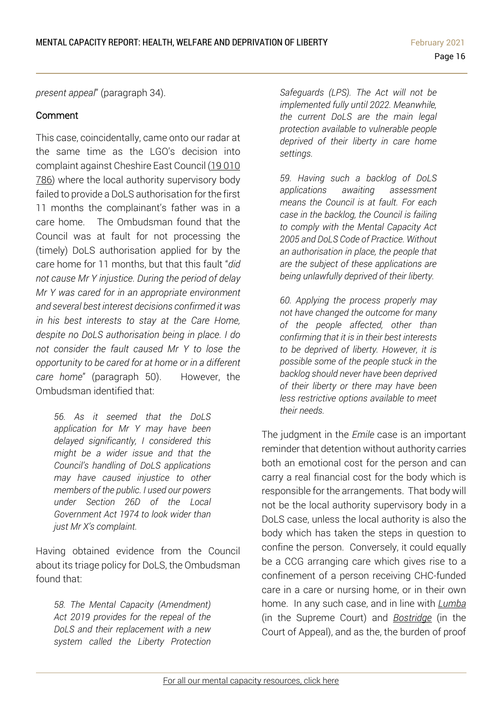*present appeal*" (paragraph 34).

#### Comment

This case, coincidentally, came onto our radar at the same time as the LGO's decision into complaint against Cheshire East Council (19 [010](https://www.lgo.org.uk/decisions/adult-care-services/assessment-and-care-plan/19-010-786) [786\)](https://www.lgo.org.uk/decisions/adult-care-services/assessment-and-care-plan/19-010-786) where the local authority supervisory body failed to provide a DoLS authorisation for the first 11 months the complainant's father was in a care home. The Ombudsman found that the Council was at fault for not processing the (timely) DoLS authorisation applied for by the care home for 11 months, but that this fault "*did not cause Mr Y injustice. During the period of delay Mr Y was cared for in an appropriate environment and several best interest decisions confirmed it was in his best interests to stay at the Care Home, despite no DoLS authorisation being in place. I do not consider the fault caused Mr Y to lose the opportunity to be cared for at home or in a different care home*" (paragraph 50). However, the Ombudsman identified that:

*56. As it seemed that the DoLS application for Mr Y may have been delayed significantly, I considered this might be a wider issue and that the Council's handling of DoLS applications may have caused injustice to other members of the public. I used our powers under Section 26D of the Local Government Act 1974 to look wider than just Mr X's complaint.*

Having obtained evidence from the Council about its triage policy for DoLS, the Ombudsman found that:

*58. The Mental Capacity (Amendment) Act 2019 provides for the repeal of the DoLS and their replacement with a new system called the Liberty Protection*  *Safeguards (LPS). The Act will not be implemented fully until 2022. Meanwhile, the current DoLS are the main legal protection available to vulnerable people deprived of their liberty in care home settings.*

*59. Having such a backlog of DoLS applications awaiting assessment means the Council is at fault. For each case in the backlog, the Council is failing to comply with the Mental Capacity Act 2005 and DoLS Code of Practice. Without an authorisation in place, the people that are the subject of these applications are being unlawfully deprived of their liberty.*

*60. Applying the process properly may not have changed the outcome for many of the people affected, other than confirming that it is in their best interests to be deprived of liberty. However, it is possible some of the people stuck in the backlog should never have been deprived of their liberty or there may have been less restrictive options available to meet their needs.*

The judgment in the *Emile* case is an important reminder that detention without authority carries both an emotional cost for the person and can carry a real financial cost for the body which is responsible for the arrangements. That body will not be the local authority supervisory body in a DoLS case, unless the local authority is also the body which has taken the steps in question to confine the person. Conversely, it could equally be a CCG arranging care which gives rise to a confinement of a person receiving CHC-funded care in a care or nursing home, or in their own home. In any such case, and in line with *[Lumba](https://www.bailii.org/uk/cases/UKSC/2011/12.html)* (in the Supreme Court) and *[Bostridge](https://www.39essex.com/cop_cases/bostridge-v-oxleas-nhs-foundation-trust/)* (in the Court of Appeal), and as the, the burden of proof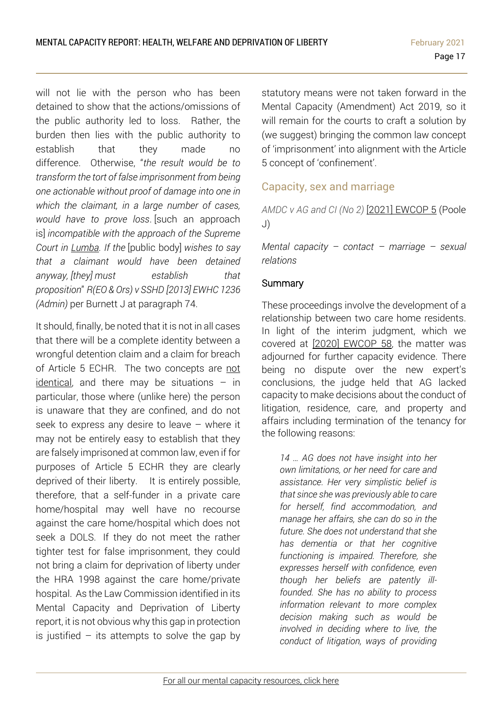will not lie with the person who has been detained to show that the actions/omissions of the public authority led to loss. Rather, the burden then lies with the public authority to establish that they made no difference. Otherwise, "*the result would be to transform the tort of false imprisonment from being one actionable without proof of damage into one in which the claimant, in a large number of cases, would have to prove loss*. [such an approach is] *incompatible with the approach of the Supreme Court in Lumba. If the* [public body] *wishes to say that a claimant would have been detained anyway, [they] must establish that proposition*" *R(EO & Ors) v SSHD [2013] [EWHC](http://www.bailii.org/ew/cases/EWHC/Admin/2013/1236.html) 1236 [\(Admin\)](http://www.bailii.org/ew/cases/EWHC/Admin/2013/1236.html)* per Burnett J at paragraph 74.

It should, finally, be noted that it is not in all cases that there will be a complete identity between a wrongful detention claim and a claim for breach of Article 5 ECHR. The two concepts are [not](https://www.39essex.com/cop_cases/r-on-the-application-of-jollah-v-secretary-of-state-for-the-home-department/) [identical,](https://www.39essex.com/cop_cases/r-on-the-application-of-jollah-v-secretary-of-state-for-the-home-department/) and there may be situations  $-$  in particular, those where (unlike here) the person is unaware that they are confined, and do not seek to express any desire to leave – where it may not be entirely easy to establish that they are falsely imprisoned at common law, even if for purposes of Article 5 ECHR they are clearly deprived of their liberty. It is entirely possible, therefore, that a self-funder in a private care home/hospital may well have no recourse against the care home/hospital which does not seek a DOLS. If they do not meet the rather tighter test for false imprisonment, they could not bring a claim for deprivation of liberty under the HRA 1998 against the care home/private hospital. As the Law Commission identified in its Mental Capacity and Deprivation of Liberty report, it is not obvious why this gap in protection is justified  $-$  its attempts to solve the gap by

statutory means were not taken forward in the Mental Capacity (Amendment) Act 2019, so it will remain for the courts to craft a solution by (we suggest) bringing the common law concept of 'imprisonment' into alignment with the Article 5 concept of 'confinement'.

## <span id="page-16-0"></span>Capacity, sex and marriage

*AMDC v AG and CI (No 2)* [2021] [EWCOP](http://www2.bailii.org/ew/cases/EWCOP/2021/5.html) 5 (Poole J)

*Mental capacity – contact – marriage – sexual relations*

#### **Summary**

These proceedings involve the development of a relationship between two care home residents. In light of the interim judgment, which we covered at [2020] [EWCOP](https://www.39essex.com/cop_cases/amdc-v-ag-anor/) 58, the matter was adjourned for further capacity evidence. There being no dispute over the new expert's conclusions, the judge held that AG lacked capacity to make decisions about the conduct of litigation, residence, care, and property and affairs including termination of the tenancy for the following reasons:

*14 … AG does not have insight into her own limitations, or her need for care and assistance. Her very simplistic belief is that since she was previously able to care for herself, find accommodation, and manage her affairs, she can do so in the future. She does not understand that she has dementia or that her cognitive functioning is impaired. Therefore, she expresses herself with confidence, even though her beliefs are patently illfounded. She has no ability to process information relevant to more complex decision making such as would be involved in deciding where to live, the conduct of litigation, ways of providing*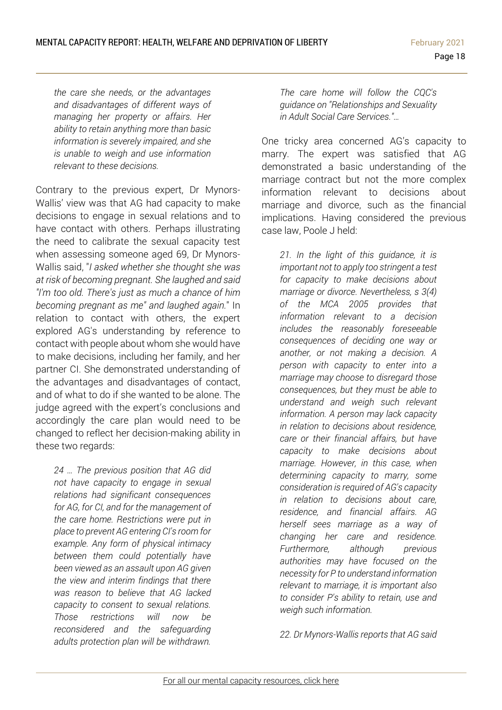*the care she needs, or the advantages and disadvantages of different ways of managing her property or affairs. Her ability to retain anything more than basic information is severely impaired, and she is unable to weigh and use information relevant to these decisions.*

Contrary to the previous expert, Dr Mynors-Wallis' view was that AG had capacity to make decisions to engage in sexual relations and to have contact with others. Perhaps illustrating the need to calibrate the sexual capacity test when assessing someone aged 69, Dr Mynors-Wallis said, "*I asked whether she thought she was at risk of becoming pregnant. She laughed and said "I'm too old. There's just as much a chance of him becoming pregnant as me" and laughed again.*" In relation to contact with others, the expert explored AG's understanding by reference to contact with people about whom she would have to make decisions, including her family, and her partner CI. She demonstrated understanding of the advantages and disadvantages of contact, and of what to do if she wanted to be alone. The judge agreed with the expert's conclusions and accordingly the care plan would need to be changed to reflect her decision-making ability in these two regards:

*24 … The previous position that AG did not have capacity to engage in sexual relations had significant consequences for AG, for CI, and for the management of the care home. Restrictions were put in place to prevent AG entering CI's room for example. Any form of physical intimacy between them could potentially have been viewed as an assault upon AG given the view and interim findings that there was reason to believe that AG lacked capacity to consent to sexual relations. Those restrictions will now be reconsidered and the safeguarding adults protection plan will be withdrawn.* 

*The care home will follow the CQC's guidance on "Relationships and Sexuality in Adult Social Care Services."…*

One tricky area concerned AG's capacity to marry. The expert was satisfied that AG demonstrated a basic understanding of the marriage contract but not the more complex information relevant to decisions about marriage and divorce, such as the financial implications. Having considered the previous case law, Poole J held:

*21. In the light of this guidance, it is important not to apply too stringent a test for capacity to make decisions about marriage or divorce. Nevertheless, s 3(4) of the MCA 2005 provides that information relevant to a decision includes the reasonably foreseeable consequences of deciding one way or another, or not making a decision. A person with capacity to enter into a marriage may choose to disregard those consequences, but they must be able to understand and weigh such relevant information. A person may lack capacity in relation to decisions about residence, care or their financial affairs, but have capacity to make decisions about marriage. However, in this case, when determining capacity to marry, some consideration is required of AG's capacity in relation to decisions about care, residence, and financial affairs. AG herself sees marriage as a way of changing her care and residence. Furthermore, although previous authorities may have focused on the necessity for P to understand information relevant to marriage, it is important also to consider P's ability to retain, use and weigh such information.*

*22. Dr Mynors-Wallis reports that AG said*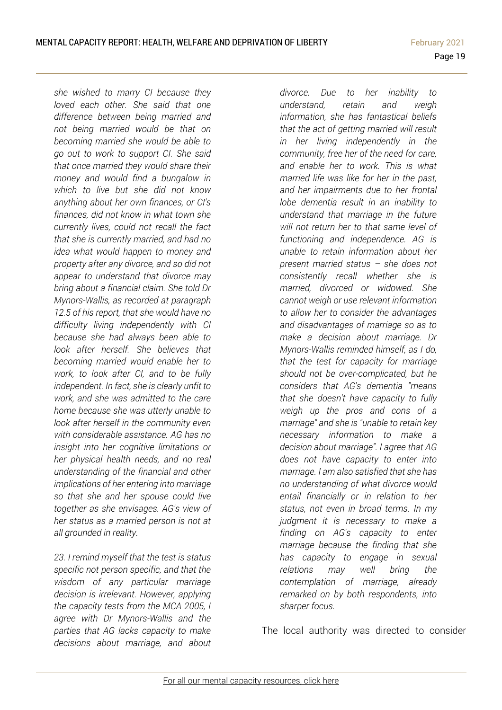*she wished to marry CI because they loved each other. She said that one difference between being married and not being married would be that on becoming married she would be able to go out to work to support CI. She said that once married they would share their money and would find a bungalow in which to live but she did not know anything about her own finances, or CI's finances, did not know in what town she currently lives, could not recall the fact that she is currently married, and had no idea what would happen to money and property after any divorce, and so did not appear to understand that divorce may bring about a financial claim. She told Dr Mynors-Wallis, as recorded at paragraph 12.5 of his report, that she would have no difficulty living independently with CI because she had always been able to look after herself. She believes that becoming married would enable her to work, to look after CI, and to be fully independent. In fact, she is clearly unfit to work, and she was admitted to the care home because she was utterly unable to look after herself in the community even with considerable assistance. AG has no insight into her cognitive limitations or her physical health needs, and no real understanding of the financial and other implications of her entering into marriage so that she and her spouse could live together as she envisages. AG's view of her status as a married person is not at all grounded in reality.*

*23. I remind myself that the test is status specific not person specific, and that the wisdom of any particular marriage decision is irrelevant. However, applying the capacity tests from the MCA 2005, I agree with Dr Mynors-Wallis and the parties that AG lacks capacity to make decisions about marriage, and about* 

*divorce. Due to her inability to understand, retain and weigh information, she has fantastical beliefs that the act of getting married will result in her living independently in the community, free her of the need for care, and enable her to work. This is what married life was like for her in the past, and her impairments due to her frontal lobe dementia result in an inability to understand that marriage in the future will not return her to that same level of functioning and independence. AG is unable to retain information about her present married status – she does not consistently recall whether she is married, divorced or widowed. She cannot weigh or use relevant information to allow her to consider the advantages and disadvantages of marriage so as to make a decision about marriage. Dr Mynors-Wallis reminded himself, as I do, that the test for capacity for marriage should not be over-complicated, but he considers that AG's dementia "means that she doesn't have capacity to fully weigh up the pros and cons of a marriage" and she is "unable to retain key necessary information to make a decision about marriage". I agree that AG does not have capacity to enter into marriage. I am also satisfied that she has no understanding of what divorce would entail financially or in relation to her status, not even in broad terms. In my judgment it is necessary to make a finding on AG's capacity to enter marriage because the finding that she has capacity to engage in sexual relations may well bring the contemplation of marriage, already remarked on by both respondents, into sharper focus.*

The local authority was directed to consider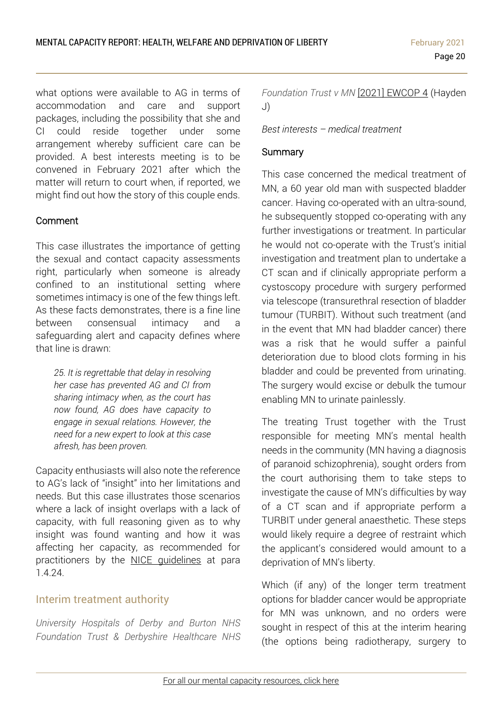what options were available to AG in terms of accommodation and care and support packages, including the possibility that she and CI could reside together under some arrangement whereby sufficient care can be provided. A best interests meeting is to be convened in February 2021 after which the matter will return to court when, if reported, we might find out how the story of this couple ends.

### Comment

This case illustrates the importance of getting the sexual and contact capacity assessments right, particularly when someone is already confined to an institutional setting where sometimes intimacy is one of the few things left. As these facts demonstrates, there is a fine line between consensual intimacy and a safeguarding alert and capacity defines where that line is drawn:

*25. It is regrettable that delay in resolving her case has prevented AG and CI from sharing intimacy when, as the court has now found, AG does have capacity to engage in sexual relations. However, the need for a new expert to look at this case afresh, has been proven.*

Capacity enthusiasts will also note the reference to AG's lack of "insight" into her limitations and needs. But this case illustrates those scenarios where a lack of insight overlaps with a lack of capacity, with full reasoning given as to why insight was found wanting and how it was affecting her capacity, as recommended for practitioners by the NICE [guidelines](https://www.nice.org.uk/guidance/ng108/resources/decisionmaking-and-mental-capacity-pdf-66141544670917) at para 1.4.24.

## <span id="page-19-0"></span>Interim treatment authority

*University Hospitals of Derby and Burton NHS Foundation Trust & Derbyshire Healthcare NHS* *Foundation Trust v MN* [2021] [EWCOP](http://www2.bailii.org/ew/cases/EWCOP/2021/4.html) 4 (Hayden J)

#### *Best interests – medical treatment*

#### **Summary**

This case concerned the medical treatment of MN, a 60 year old man with suspected bladder cancer. Having co-operated with an ultra-sound, he subsequently stopped co-operating with any further investigations or treatment. In particular he would not co-operate with the Trust's initial investigation and treatment plan to undertake a CT scan and if clinically appropriate perform a cystoscopy procedure with surgery performed via telescope (transurethral resection of bladder tumour (TURBIT). Without such treatment (and in the event that MN had bladder cancer) there was a risk that he would suffer a painful deterioration due to blood clots forming in his bladder and could be prevented from urinating. The surgery would excise or debulk the tumour enabling MN to urinate painlessly.

The treating Trust together with the Trust responsible for meeting MN's mental health needs in the community (MN having a diagnosis of paranoid schizophrenia), sought orders from the court authorising them to take steps to investigate the cause of MN's difficulties by way of a CT scan and if appropriate perform a TURBIT under general anaesthetic. These steps would likely require a degree of restraint which the applicant's considered would amount to a deprivation of MN's liberty.

Which (if any) of the longer term treatment options for bladder cancer would be appropriate for MN was unknown, and no orders were sought in respect of this at the interim hearing (the options being radiotherapy, surgery to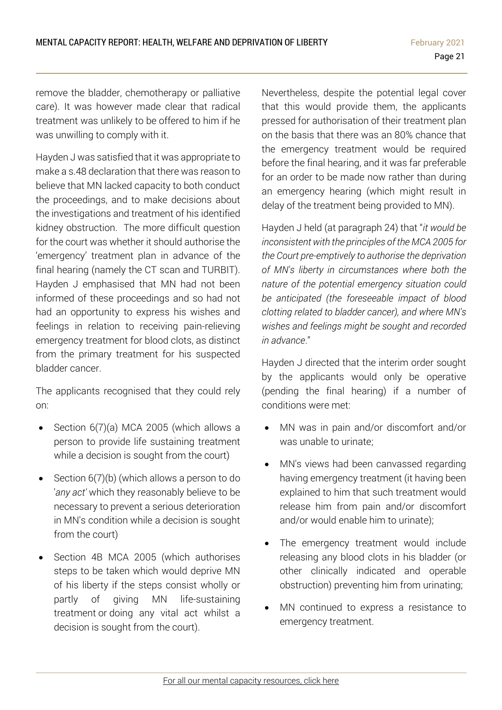remove the bladder, chemotherapy or palliative care). It was however made clear that radical treatment was unlikely to be offered to him if he was unwilling to comply with it.

Hayden J was satisfied that it was appropriate to make a s.48 declaration that there was reason to believe that MN lacked capacity to both conduct the proceedings, and to make decisions about the investigations and treatment of his identified kidney obstruction. The more difficult question for the court was whether it should authorise the 'emergency' treatment plan in advance of the final hearing (namely the CT scan and TURBIT). Hayden J emphasised that MN had not been informed of these proceedings and so had not had an opportunity to express his wishes and feelings in relation to receiving pain-relieving emergency treatment for blood clots, as distinct from the primary treatment for his suspected bladder cancer.

The applicants recognised that they could rely on:

- Section 6(7)(a) MCA 2005 (which allows a person to provide life sustaining treatment while a decision is sought from the court)
- Section 6(7)(b) (which allows a person to do '*any act'* which they reasonably believe to be necessary to prevent a serious deterioration in MN's condition while a decision is sought from the court)
- Section 4B MCA 2005 (which authorises steps to be taken which would deprive MN of his liberty if the steps consist wholly or partly of giving MN life-sustaining treatment or doing any vital act whilst a decision is sought from the court).

Nevertheless, despite the potential legal cover that this would provide them, the applicants pressed for authorisation of their treatment plan on the basis that there was an 80% chance that the emergency treatment would be required before the final hearing, and it was far preferable for an order to be made now rather than during an emergency hearing (which might result in delay of the treatment being provided to MN).

Hayden J held (at paragraph 24) that "*it would be inconsistent with the principles of the MCA 2005 for the Court pre-emptively to authorise the deprivation of MN's liberty in circumstances where both the nature of the potential emergency situation could be anticipated (the foreseeable impact of blood clotting related to bladder cancer), and where MN's wishes and feelings might be sought and recorded in advance*."

Hayden J directed that the interim order sought by the applicants would only be operative (pending the final hearing) if a number of conditions were met:

- MN was in pain and/or discomfort and/or was unable to urinate;
- MN's views had been canvassed regarding having emergency treatment (it having been explained to him that such treatment would release him from pain and/or discomfort and/or would enable him to urinate);
- The emergency treatment would include releasing any blood clots in his bladder (or other clinically indicated and operable obstruction) preventing him from urinating;
- MN continued to express a resistance to emergency treatment.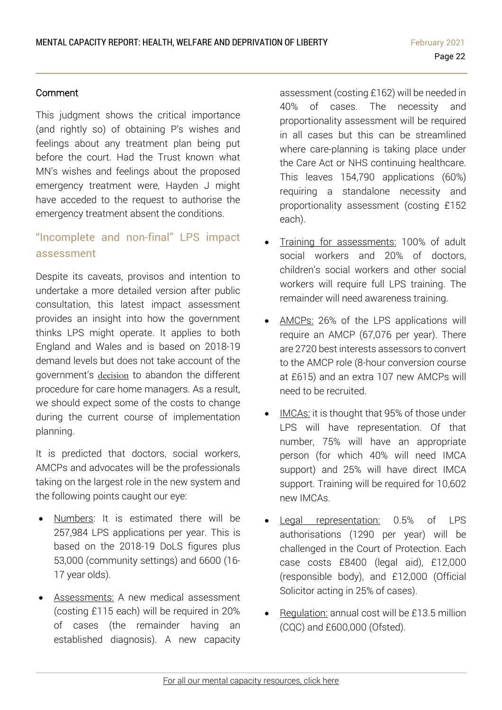#### Comment

This judgment shows the critical importance (and rightly so) of obtaining P's wishes and feelings about any treatment plan being put before the court. Had the Trust known what MN's wishes and feelings about the proposed emergency treatment were, Hayden J might have acceded to the request to authorise the emergency treatment absent the conditions.

# <span id="page-21-0"></span>"Incomplete and non-final" LPS impact assessment

Despite its caveats, provisos and intention to undertake a more detailed version after public consultation, this latest impact assessment provides an insight into how the government thinks LPS might operate. It applies to both England and Wales and is based on 2018-19 demand levels but does not take account of the government's [decision](https://www.communitycare.co.uk/2020/11/10/government-ditches-controversial-role-care-home-managers-liberty-protection-safeguards/) to abandon the different procedure for care home managers. As a result, we should expect some of the costs to change during the current course of implementation planning.

It is predicted that doctors, social workers, AMCPs and advocates will be the professionals taking on the largest role in the new system and the following points caught our eye:

- Numbers: It is estimated there will be 257,984 LPS applications per year. This is based on the 2018-19 DoLS figures plus 53,000 (community settings) and 6600 (16- 17 year olds).
- Assessments: A new medical assessment (costing £115 each) will be required in 20% of cases (the remainder having an established diagnosis). A new capacity

assessment (costing £162) will be needed in 40% of cases. The necessity and proportionality assessment will be required in all cases but this can be streamlined where care-planning is taking place under the Care Act or NHS continuing healthcare. This leaves 154,790 applications (60%) requiring a standalone necessity and proportionality assessment (costing £152 each).

- Training for assessments: 100% of adult social workers and 20% of doctors, children's social workers and other social workers will require full LPS training. The remainder will need awareness training.
- AMCPs: 26% of the LPS applications will require an AMCP (67,076 per year). There are 2720 best interests assessors to convert to the AMCP role (8-hour conversion course at £615) and an extra 107 new AMCPs will need to be recruited.
- IMCAs: it is thought that 95% of those under LPS will have representation. Of that number, 75% will have an appropriate person (for which 40% will need IMCA support) and 25% will have direct IMCA support. Training will be required for 10,602 new IMCAs.
- Legal representation: 0.5% of LPS authorisations (1290 per year) will be challenged in the Court of Protection. Each case costs £8400 (legal aid), £12,000 (responsible body), and £12,000 (Official Solicitor acting in 25% of cases).
- Regulation: annual cost will be £13.5 million (CQC) and £600,000 (Ofsted).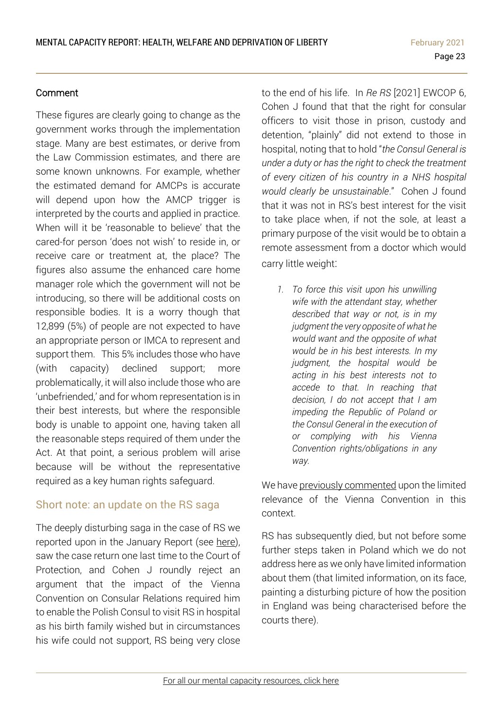#### Comment

These figures are clearly going to change as the government works through the implementation stage. Many are best estimates, or derive from the Law Commission estimates, and there are some known unknowns. For example, whether the estimated demand for AMCPs is accurate will depend upon how the AMCP trigger is interpreted by the courts and applied in practice. When will it be 'reasonable to believe' that the cared-for person 'does not wish' to reside in, or receive care or treatment at, the place? The figures also assume the enhanced care home manager role which the government will not be introducing, so there will be additional costs on responsible bodies. It is a worry though that 12,899 (5%) of people are not expected to have an appropriate person or IMCA to represent and support them. This 5% includes those who have (with capacity) declined support; more problematically, it will also include those who are 'unbefriended,' and for whom representation is in their best interests, but where the responsible body is unable to appoint one, having taken all the reasonable steps required of them under the Act. At that point, a serious problem will arise because will be without the representative required as a key human rights safeguard.

## <span id="page-22-0"></span>Short note: an update on the RS saga

The deeply disturbing saga in the case of RS we reported upon in the January Report (see [here\)](https://www.39essex.com/cop_cases/z-v-university-hospitals-plymouth-nhs-trust-ors/), saw the case return one last time to the Court of Protection, and Cohen J roundly reject an argument that the impact of the Vienna Convention on Consular Relations required him to enable the Polish Consul to visit RS in hospital as his birth family wished but in circumstances his wife could not support, RS being very close

to the end of his life. In *Re RS* [2021] EWCOP 6, Cohen J found that that the right for consular officers to visit those in prison, custody and detention, "plainly" did not extend to those in hospital, noting that to hold "*the Consul General is under a duty or has the right to check the treatment of every citizen of his country in a NHS hospital would clearly be unsustainable*." Cohen J found that it was not in RS's best interest for the visit to take place when, if not the sole, at least a primary purpose of the visit would be to obtain a remote assessment from a doctor which would carry little weight:

*1. To force this visit upon his unwilling wife with the attendant stay, whether described that way or not, is in my judgment the very opposite of what he would want and the opposite of what would be in his best interests. In my judgment, the hospital would be acting in his best interests not to accede to that. In reaching that decision, I do not accept that I am impeding the Republic of Poland or the Consul General in the execution of or complying with his Vienna Convention rights/obligations in any way.*

We have previously [commented](https://www.39essex.com/cop_cases/re-e-a-child/) upon the limited relevance of the Vienna Convention in this context.

RS has subsequently died, but not before some further steps taken in Poland which we do not address here as we only have limited information about them (that limited information, on its face, painting a disturbing picture of how the position in England was being characterised before the courts there).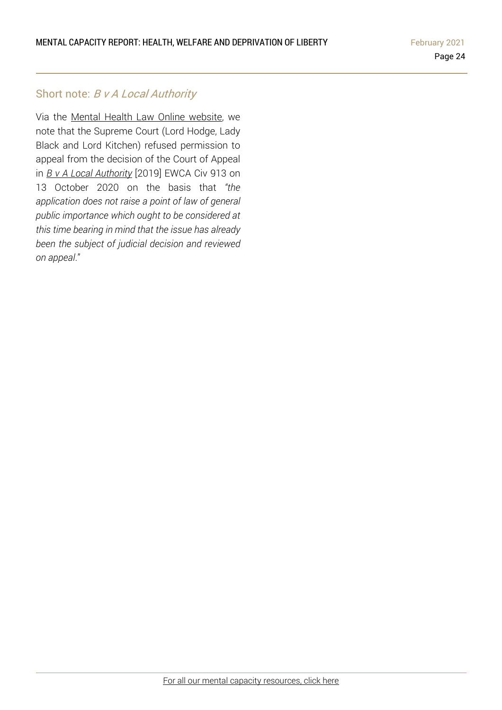#### <span id="page-23-0"></span>Short note: B v A Local Authority

Via the Mental Health Law Online [website,](https://protect-eu.mimecast.com/s/4x56CxvkJFJX7Oqt8-2TA) we note that the Supreme Court (Lord Hodge, Lady Black and Lord Kitchen) refused permission to appeal from the decision of the Court of Appeal in *B v A Local [Authority](https://www.39essex.com/cop_cases/b-v-a-local-authority/)* [2019] EWCA Civ 913 on 13 October 2020 on the basis that *"the application does not raise a point of law of general public importance which ought to be considered at this time bearing in mind that the issue has already been the subject of judicial decision and reviewed on appeal*."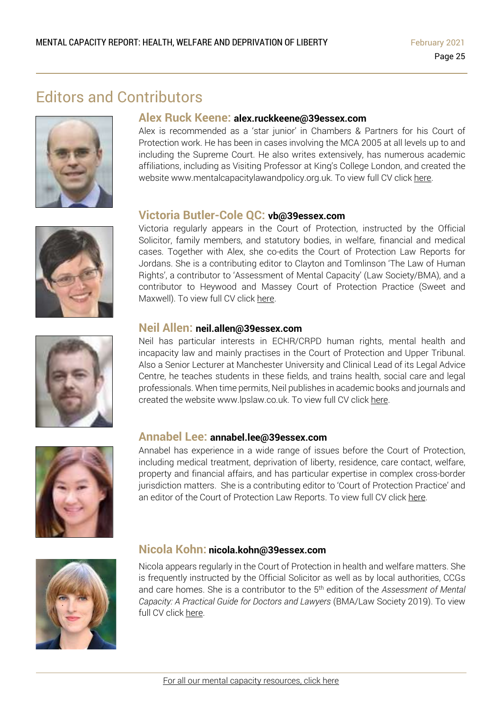# Editors and Contributors







#### **Alex Ruck Keene: alex.ruckkeene@39essex.com**

Alex is recommended as a 'star junior' in Chambers & Partners for his Court of Protection work. He has been in cases involving the MCA 2005 at all levels up to and including the Supreme Court. He also writes extensively, has numerous academic affiliations, including as Visiting Professor at King's College London, and created the website www.mentalcapacitylawandpolicy.org.uk. To view full CV click [here.](http://www.39essex.com/barrister/alexander-ruck-keene/)

#### **Victoria Butler-Cole QC: vb@39essex.com**

Victoria regularly appears in the Court of Protection, instructed by the Official Solicitor, family members, and statutory bodies, in welfare, financial and medical cases. Together with Alex, she co-edits the Court of Protection Law Reports for Jordans. She is a contributing editor to Clayton and Tomlinson 'The Law of Human Rights', a contributor to 'Assessment of Mental Capacity' (Law Society/BMA), and a contributor to Heywood and Massey Court of Protection Practice (Sweet and Maxwell). To view full CV click [here.](http://www.39essex.com/barrister/victoria-butler-cole/)

#### **Neil Allen: neil.allen@39essex.com**

Neil has particular interests in ECHR/CRPD human rights, mental health and incapacity law and mainly practises in the Court of Protection and Upper Tribunal. Also a Senior Lecturer at Manchester University and Clinical Lead of its Legal Advice Centre, he teaches students in these fields, and trains health, social care and legal professionals. When time permits, Neil publishes in academic books and journals and created the website www.lpslaw.co.uk. To view full CV click [here.](http://www.39essex.com/barrister/neil-allen/)



#### **Annabel Lee: annabel.lee@39essex.com**

Annabel has experience in a wide range of issues before the Court of Protection, including medical treatment, deprivation of liberty, residence, care contact, welfare, property and financial affairs, and has particular expertise in complex cross-border jurisdiction matters. She is a contributing editor to 'Court of Protection Practice' and an editor of the Court of Protection Law Reports. To view full CV click [here.](http://www.39essex.com/barrister/annabel-lee/)



#### **Nicola Kohn: nicola.kohn@39essex.com**

Nicola appears regularly in the Court of Protection in health and welfare matters. She is frequently instructed by the Official Solicitor as well as by local authorities, CCGs and care homes. She is a contributor to the 5 th edition of the *Assessment of Mental Capacity: A Practical Guide for Doctors and Lawyers* (BMA/Law Society 2019). To view full CV click [here.](http://www.39essex.com/barrister/nicola-kohn/)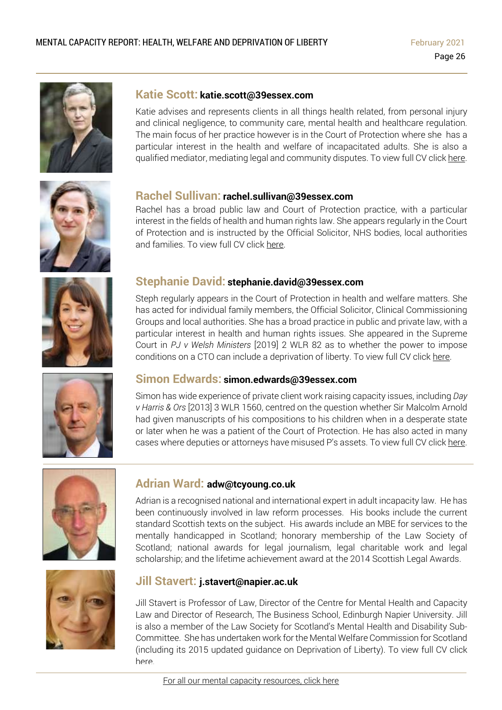

#### **Katie Scott: katie.scott@39essex.com**

Katie advises and represents clients in all things health related, from personal injury and clinical negligence, to community care, mental health and healthcare regulation. The main focus of her practice however is in the Court of Protection where she has a particular interest in the health and welfare of incapacitated adults. She is also a qualified mediator, mediating legal and community disputes. To view full CV click [here.](http://www.39essex.com/barrister/katharine-scott/)



#### **Rachel Sullivan: rachel.sullivan@39essex.com**

Rachel has a broad public law and Court of Protection practice, with a particular interest in the fields of health and human rights law. She appears regularly in the Court of Protection and is instructed by the Official Solicitor, NHS bodies, local authorities and families. To view full CV click [here.](https://www.39essex.com/barrister/rachel-sullivan/)



# **Stephanie David: stephanie.david@39essex.com**

Steph regularly appears in the Court of Protection in health and welfare matters. She has acted for individual family members, the Official Solicitor, Clinical Commissioning Groups and local authorities. She has a broad practice in public and private law, with a particular interest in health and human rights issues. She appeared in the Supreme Court in *PJ v Welsh Ministers* [2019] 2 WLR 82 as to whether the power to impose conditions on a CTO can include a deprivation of liberty. To view full CV click [here.](http://www.39essex.com/barrister/simon-edwards/)



#### **Simon Edwards: simon.edwards@39essex.com**

Simon has wide experience of private client work raising capacity issues, including *Day v Harris & Ors* [2013] 3 WLR 1560, centred on the question whether Sir Malcolm Arnold had given manuscripts of his compositions to his children when in a desperate state or later when he was a patient of the Court of Protection. He has also acted in many cases where deputies or attorneys have misused P's assets. To view full CV click [here.](http://www.39essex.com/barrister/simon-edwards/)



#### **Adrian Ward: adw@tcyoung.co.uk**

Adrian is a recognised national and international expert in adult incapacity law. He has been continuously involved in law reform processes. His books include the current standard Scottish texts on the subject. His awards include an MBE for services to the mentally handicapped in Scotland; honorary membership of the Law Society of Scotland; national awards for legal journalism, legal charitable work and legal scholarship; and the lifetime achievement award at the 2014 Scottish Legal Awards.



#### **Jill Stavert: j.stavert@napier.ac.uk**

Jill Stavert is Professor of Law, Director of the Centre for Mental Health and Capacity Law and Director of Research, The Business School, Edinburgh Napier University. Jill is also a member of the Law Society for Scotland's Mental Health and Disability Sub-Committee. She has undertaken work for the Mental Welfare Commission for Scotland (including its 2015 updated guidance on Deprivation of Liberty). To view full CV click [here.](http://www.napier.ac.uk/people/jill-stavert)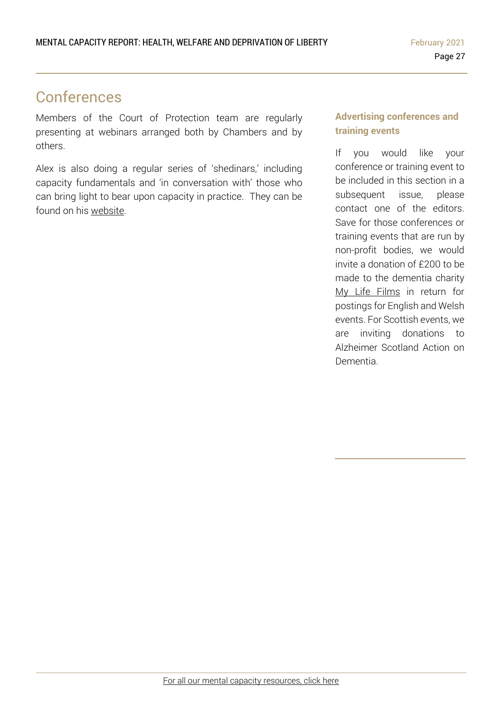# Conferences

Members of the Court of Protection team are regularly presenting at webinars arranged both by Chambers and by others.

Alex is also doing a regular series of 'shedinars,' including capacity fundamentals and 'in conversation with' those who can bring light to bear upon capacity in practice. They can be found on his [website.](https://www.mentalcapacitylawandpolicy.org.uk/)

#### **Advertising conferences and training events**

If you would like your conference or training event to be included in this section in a subsequent issue, please contact one of the editors. Save for those conferences or training events that are run by non-profit bodies, we would invite a donation of £200 to be made to the dementia charity My Life Films in return for postings for English and Welsh events. For Scottish events, we are inviting donations to Alzheimer Scotland Action on Dementia.